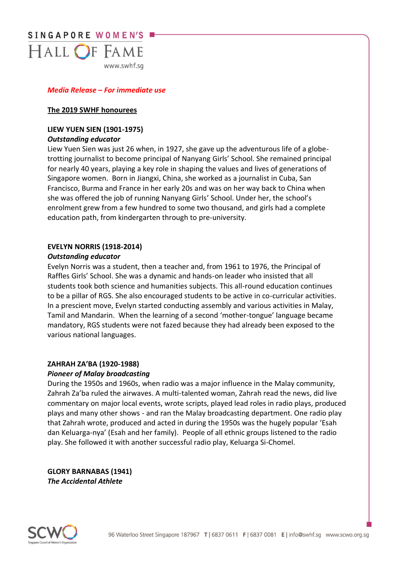

# *Media Release – For immediate use*

#### **The 2019 SWHF honourees**

#### **LIEW YUEN SIEN (1901-1975)** *Outstanding educator*

Liew Yuen Sien was just 26 when, in 1927, she gave up the adventurous life of a globetrotting journalist to become principal of Nanyang Girls' School. She remained principal for nearly 40 years, playing a key role in shaping the values and lives of generations of Singapore women. Born in Jiangxi, China, she worked as a journalist in Cuba, San Francisco, Burma and France in her early 20s and was on her way back to China when she was offered the job of running Nanyang Girls' School. Under her, the school's enrolment grew from a few hundred to some two thousand, and girls had a complete education path, from kindergarten through to pre-university.

# **EVELYN NORRIS (1918-2014)**

#### *Outstanding educator*

Evelyn Norris was a student, then a teacher and, from 1961 to 1976, the Principal of Raffles Girls' School. She was a dynamic and hands-on leader who insisted that all students took both science and humanities subjects. This all-round education continues to be a pillar of RGS. She also encouraged students to be active in co-curricular activities. In a prescient move, Evelyn started conducting assembly and various activities in Malay, Tamil and Mandarin. When the learning of a second 'mother-tongue' language became mandatory, RGS students were not fazed because they had already been exposed to the various national languages.

#### **ZAHRAH ZA'BA (1920-1988)**

#### *Pioneer of Malay broadcasting*

During the 1950s and 1960s, when radio was a major influence in the Malay community, Zahrah Za'ba ruled the airwaves. A multi-talented woman, Zahrah read the news, did live commentary on major local events, wrote scripts, played lead roles in radio plays, produced plays and many other shows - and ran the Malay broadcasting department. One radio play that Zahrah wrote, produced and acted in during the 1950s was the hugely popular 'Esah dan Keluarga-nya' (Esah and her family). People of all ethnic groups listened to the radio play. She followed it with another successful radio play, Keluarga Si-Chomel.

**GLORY BARNABAS (1941)** *The Accidental Athlete*

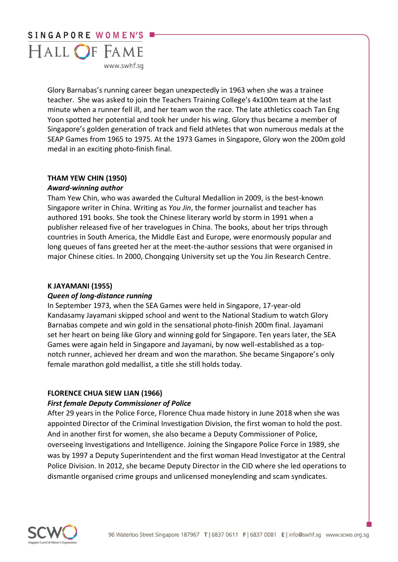

Glory Barnabas's running career began unexpectedly in 1963 when she was a trainee teacher. She was asked to join the Teachers Training College's 4x100m team at the last minute when a runner fell ill, and her team won the race. The late athletics coach Tan Eng Yoon spotted her potential and took her under his wing. Glory thus became a member of Singapore's golden generation of track and field athletes that won numerous medals at the SEAP Games from 1965 to 1975. At the 1973 Games in Singapore, Glory won the 200m gold medal in an exciting photo-finish final.

# **THAM YEW CHIN (1950)**

# *Award-winning author*

Tham Yew Chin, who was awarded the Cultural Medallion in 2009, is the best-known Singapore writer in China. Writing as *You Jin*, the former journalist and teacher has authored 191 books. She took the Chinese literary world by storm in 1991 when a publisher released five of her travelogues in China. The books, about her trips through countries in South America, the Middle East and Europe, were enormously popular and long queues of fans greeted her at the meet-the-author sessions that were organised in major Chinese cities. In 2000, Chongqing University set up the You Jin Research Centre.

# **K JAYAMANI (1955)**

# *Queen of long-distance running*

In September 1973, when the SEA Games were held in Singapore, 17-year-old Kandasamy Jayamani skipped school and went to the National Stadium to watch Glory Barnabas compete and win gold in the sensational photo-finish 200m final. Jayamani set her heart on being like Glory and winning gold for Singapore. Ten years later, the SEA Games were again held in Singapore and Jayamani, by now well-established as a topnotch runner, achieved her dream and won the marathon. She became Singapore's only female marathon gold medallist, a title she still holds today.

# **FLORENCE CHUA SIEW LIAN (1966)**

# *First female Deputy Commissioner of Police*

After 29 years in the Police Force, Florence Chua made history in June 2018 when she was appointed Director of the Criminal Investigation Division, the first woman to hold the post. And in another first for women, she also became a Deputy Commissioner of Police, overseeing Investigations and Intelligence. Joining the Singapore Police Force in 1989, she was by 1997 a Deputy Superintendent and the first woman Head Investigator at the Central Police Division. In 2012, she became Deputy Director in the CID where she led operations to dismantle organised crime groups and unlicensed moneylending and scam syndicates.